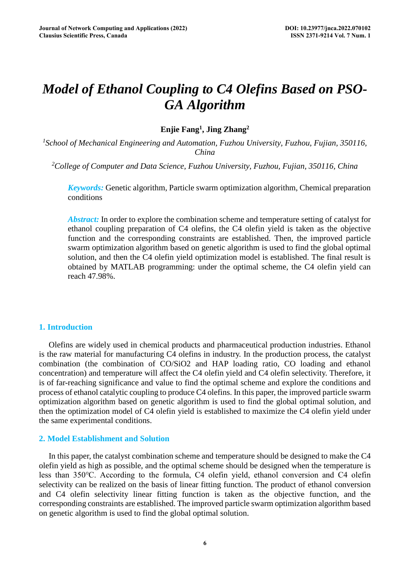# *Model of Ethanol Coupling to C4 Olefins Based on PSO-GA Algorithm*

## **Enjie Fang1, Jing Zhang2**

*1 School of Mechanical Engineering and Automation, Fuzhou University, Fuzhou, Fujian, 350116, China* 

*2 College of Computer and Data Science, Fuzhou University, Fuzhou, Fujian, 350116, China* 

*Keywords:* Genetic algorithm, Particle swarm optimization algorithm, Chemical preparation conditions

*Abstract:* In order to explore the combination scheme and temperature setting of catalyst for ethanol coupling preparation of C4 olefins, the C4 olefin yield is taken as the objective function and the corresponding constraints are established. Then, the improved particle swarm optimization algorithm based on genetic algorithm is used to find the global optimal solution, and then the C4 olefin yield optimization model is established. The final result is obtained by MATLAB programming: under the optimal scheme, the C4 olefin yield can reach 47.98%.

#### **1. Introduction**

Olefins are widely used in chemical products and pharmaceutical production industries. Ethanol is the raw material for manufacturing C4 olefins in industry. In the production process, the catalyst combination (the combination of CO/SiO2 and HAP loading ratio, CO loading and ethanol concentration) and temperature will affect the C4 olefin yield and C4 olefin selectivity. Therefore, it is of far-reaching significance and value to find the optimal scheme and explore the conditions and process of ethanol catalytic coupling to produce C4 olefins. In this paper, the improved particle swarm optimization algorithm based on genetic algorithm is used to find the global optimal solution, and then the optimization model of C4 olefin yield is established to maximize the C4 olefin yield under the same experimental conditions.

## **2. Model Establishment and Solution**

In this paper, the catalyst combination scheme and temperature should be designed to make the C4 olefin yield as high as possible, and the optimal scheme should be designed when the temperature is less than 350℃. According to the formula, C4 olefin yield, ethanol conversion and C4 olefin selectivity can be realized on the basis of linear fitting function. The product of ethanol conversion and C4 olefin selectivity linear fitting function is taken as the objective function, and the corresponding constraints are established. The improved particle swarm optimization algorithm based on genetic algorithm is used to find the global optimal solution.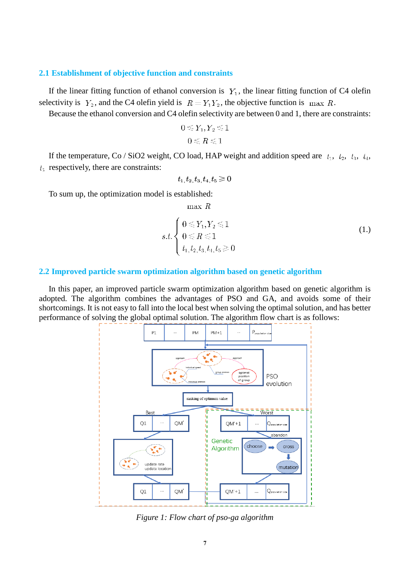#### **2.1 Establishment of objective function and constraints**

If the linear fitting function of ethanol conversion is  $Y_1$ , the linear fitting function of C4 olefin selectivity is  $Y_2$ , and the C4 olefin yield is  $R = Y_1 Y_2$ , the objective function is max R.

Because the ethanol conversion and C4 olefin selectivity are between 0 and 1, there are constraints:

$$
0\!\leqslant\!Y_1,Y_2\!\leqslant\!1\\0\!\leqslant\!R\!\leqslant\!1
$$

If the temperature, Co / SiO2 weight, CO load, HAP weight and addition speed are  $t_1$ ,  $t_2$ ,  $t_3$ ,  $t_4$ ,  $t<sub>5</sub>$  respectively, there are constraints:

$$
t_1, t_2, t_3, t_4, t_5 \geq 0
$$

To sum up, the optimization model is established:

 $max R$ 

$$
s.t. \begin{cases} 0 \le Y_1, Y_2 \le 1 \\ 0 \le R \le 1 \\ t_1, t_2, t_3, t_4, t_5 \ge 0 \end{cases} \tag{1.}
$$

#### **2.2 Improved particle swarm optimization algorithm based on genetic algorithm**

In this paper, an improved particle swarm optimization algorithm based on genetic algorithm is adopted. The algorithm combines the advantages of PSO and GA, and avoids some of their shortcomings. It is not easy to fall into the local best when solving the optimal solution, and has better performance of solving the global optimal solution. The algorithm flow chart is as follows:



*Figure 1: Flow chart of pso-ga algorithm*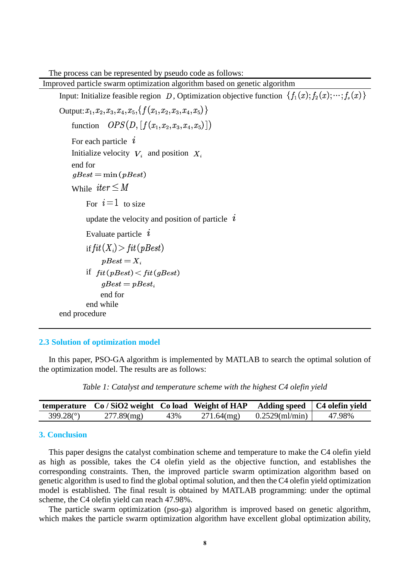The process can be represented by pseudo code as follows:

Improved particle swarm optimization algorithm based on genetic algorithm Input: Initialize feasible region D, Optimization objective function  $\{f_1(x); f_2(x); \dots; f_s(x)\}$ Output:  $x_1, x_2, x_3, x_4, x_5, \{f(x_1, x_2, x_3, x_4, x_5)\}\$ function  $OPS(D, [f(x_1, x_2, x_3, x_4, x_5)])$ For each particle  $i$ Initialize velocity  $V_i$  and position  $X_i$  end for  $qBest = min(pBest)$ While  $iter \leq M$ For  $i=1$  to size update the velocity and position of particle  $i$ Evaluate particle  $i$ if  $fit(X_i)$  >  $fit(pBest)$  $pBest = X_i$ if  $fit(pBest) < fit(gBest)$  $aBest = pBest_i$  end for end while end procedure

### **2.3 Solution of optimization model**

In this paper, PSO-GA algorithm is implemented by MATLAB to search the optimal solution of the optimization model. The results are as follows:

*Table 1: Catalyst and temperature scheme with the highest C4 olefin yield* 

|           | temperature Co/SiO2 weight Co load Weight of HAP |     |               | Adding speed   C4 olefin yield |        |
|-----------|--------------------------------------------------|-----|---------------|--------------------------------|--------|
| 399.28(°) | $277.89$ (mg)                                    | 43% | $271.64$ (mg) | $0.2529$ (ml/min)              | 47.98% |

## **3. Conclusion**

This paper designs the catalyst combination scheme and temperature to make the C4 olefin yield as high as possible, takes the C4 olefin yield as the objective function, and establishes the corresponding constraints. Then, the improved particle swarm optimization algorithm based on genetic algorithm is used to find the global optimal solution, and then the C4 olefin yield optimization model is established. The final result is obtained by MATLAB programming: under the optimal scheme, the C4 olefin yield can reach 47.98%.

The particle swarm optimization (pso-ga) algorithm is improved based on genetic algorithm, which makes the particle swarm optimization algorithm have excellent global optimization ability,